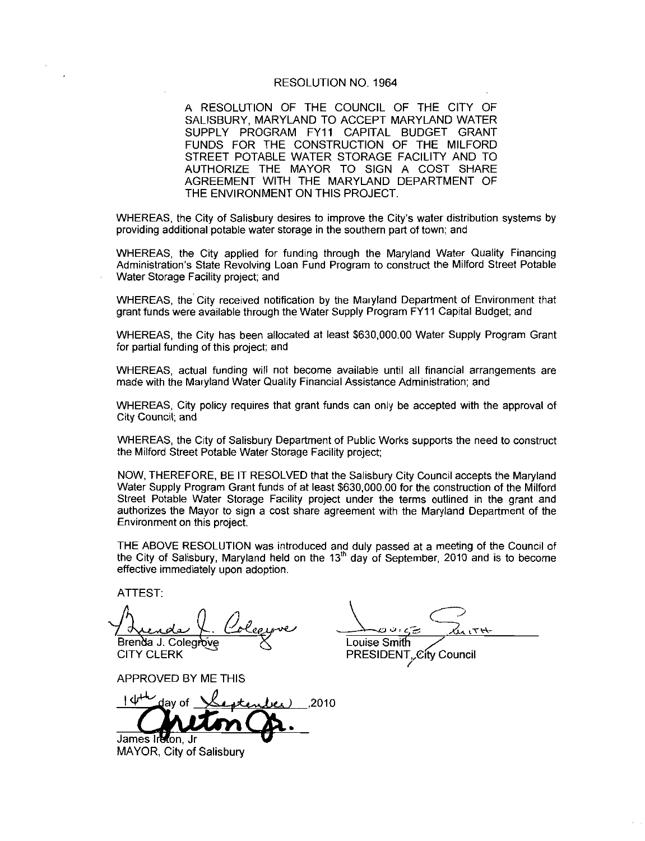#### RESOLUTION NO 1964

A RESOLUTION OF THE COUNCIL OF THE CITY OF SALISBURY, MARYLAND TO ACCEPT MARYLAND WATER SUPPLY PROGRAM FY11 CAPITAL BUDGET GRANT FUNDS FOR THE CONSTRUCTION OF THE MILFORD STREET POTABLE WATER STORAGE FACILITY AND TO AUTHORIZE THE MAYOR TO SIGN A COST SHARE AGREEMENT WITH THE MARYLAND DEPARTMENT OF THE ENVIRONMENT ON THIS PROJECT. FUNDS FOR THE CONSTRUCTION OF THE MILFORD<br>STREET POTABLE WATER STORAGE FACILITY AND TO<br>AUTHORIZE THE MAYOR TO SIGN A COST SHARE<br>AGREEMENT WITH THE MARYLAND DEPARTMENT OF<br>THE ENVIRONMENT ON THIS PROJECT.<br>WHEREAS, the City o

WHEREAS, the City of Salisbury desires to improve the City's water distribution systems by providing additional potable water storage in the southern part of town and

WHEREAS, the City applied for funding through the Maryland Water Quality Financing<br>Administration's State Revolving Loan Fund Program to construct the Milford Street Potable Water Storage Facility project; and

WHEREAS, the City received notification by the Maryland Department of Environment that grant funds were available through the Water Supply Program FY11 Capital Budget; and

WHEREAS, the City has been allocated at least \$630,000.00 Water Supply Program Grant for partial funding of this project; and

WHEREAS actual funding will not become available until all financial arrangements are made with the Maryland Water Quality Financial Assistance Administration: and

WHEREAS. City policy requires that grant funds can only be accepted with the approval of City Council; and

WHEREAS, the City of Salisbury Department of Public Works supports the need to construct the Milford Street Potable Water Storage Facility project

NOW, THEREFORE, BE IT RESOLVED that the Salisbury City Council accepts the Maryland the Milford Street Potable Water Storage Facility project;<br>NOW, THEREFORE, BE IT RESOLVED that the Salisbury City Council accepts the Maryland<br>Water Supply Program Grant funds of at least \$630,000.00 for the construction o Street Potable Water Storage Facility project under the terms outlined in the grant and authorizes the Mayor to sign a cost share agreement with the Maryland Department of the Environment on this project

THE ABOVE RESOLUTION was introduced and duly passed at a meeting of the Council of the City of Salisbury, Maryland held on the  $13<sup>th</sup>$  day of September, 2010 and is to become effective immediately upon adoption

ATTEST

0.<br>Col Brenda J. Colegrove **Communist Communist Communist Communist Communist Communist Communist Communist Communist** able Water Storage F<br>the Mayor to sign a c<br>the Mayor to sign a c<br>t on this project.<br>E RESOLUTION was<br>Salisbury, Maryland F<br>mediately upon adopt<br>mediately upon adopt<br> $\frac{1}{2}$ <br> $\frac{1}{2}$ <br> $\frac{1}{2}$ <br> $\frac{1}{2}$ <br> $\frac{1}{2}$ <br> $\frac{1}{2$ 

APPROVED BY ME THIS

<u>and</u>ay of <u>Hestendee</u> 2010 James Ireton, Jr

MAYOR, City of Salisbury

J CITY CLERK PRESIDENT<sub>y</sub>City Council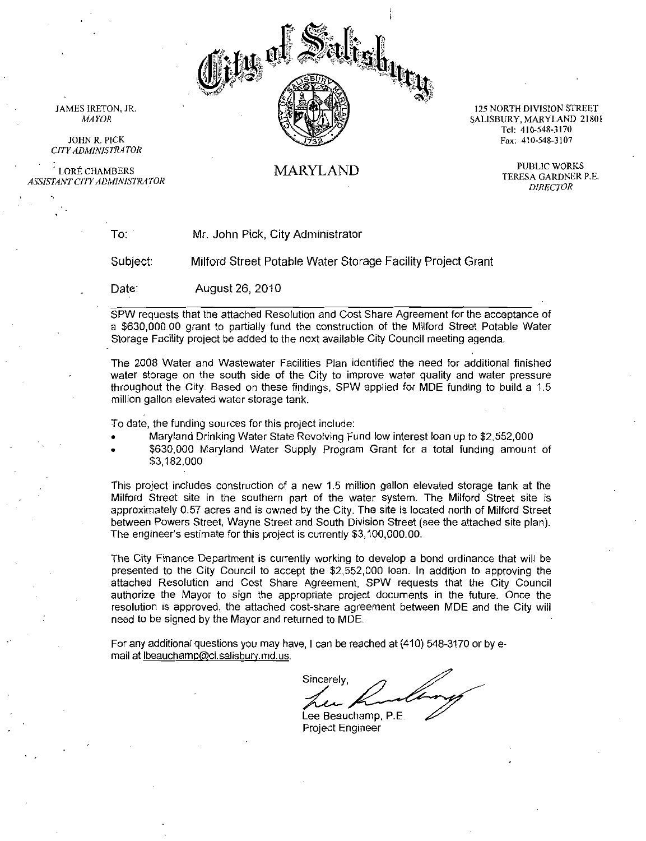

25 NORTH DIVISION STREET Tel: 410-548-3170<br>Tel: 410-548-3170<br>Tel: 410-548-3170 Tel: 410-548-3170<br>Fax: 410-548-3107

JAMES IRETON, JR. MAYOR

JOHN R. PICK JOHN R. PICK<br>CITY ADMINISTRATOR<br>LORÉ CHAMBERS

LORÉ CHAMBERS<br>ASSISTANT CITY ADMINISTRATOR

### MARYLAND

PUBLIC WORKS TERESA GARDNER P.E. **DIRECTOR** 

To

Mr. John Pick, City Administrator

Subject Milford Street Potable Water Storage Facility Project Grant

Date: August 26 2010

SPW requests that the attached Resolution and Cost Share Agreement for the acceptance of a \$630,000.00 grant to partially fund the construction of the Milford Street Potable Water Storage Facility project be added to the next available City Council meeting agenda

The 2008 Water and Wastewater Facilities Plan identified the need for additional finished The 2008 Water and Wastewater Facilities Plan identified the need for additional finished<br>water storage on the south side of the City to improve water quality and water pressure<br>throughout the City. Based on these findings throughout the City. Based on these findings, SPW applied for MDE funding to build a 1.5 million gallon elevated water storage tank.

To date, the funding sources for this project include:

- 
- Maryland Drinking Water State Revolving Fund low interest loan<br>\$630,000 Maryland Water Supply Program Grant for a total but the City. Based on these findings, SPW applied for MDE funding to build a 1.5<br>allon elevated water storage tank.<br>the funding sources for this project include:<br>Maryland Drinking Water State Revolving Fund low interest l تا 1941<br>\$630,000<br>\$3,182,000 \$3,182,000<br>This project includes construction of a new 1.5 million gallon elevated storage tank at the

Milford Street site in the southern part of the water system The Milford Street site is This project includes construction of a new 1.5 million gallon elevated storage tank at the Milford Street site in the southern part of the water system. The Milford Street site is approximately 0.57 acres and is owned by between Powers Street, Wayne Street and South Division Street (see the attached site plan). Maryland Drinking Water State Revolving Fund low interest<br>  $$630,000$  Maryland Water Supply Program Grant for a<br>  $$3,182,000$ <br>
This project includes construction of a new 1.5 million gallon ele<br>
Milford Street site in the Milford Street site in the southern part of the water system. The Milford Street site is<br>approximately 0.57 acres and is owned by the City. The site is located north of Milford Street<br>between Powers Street, Wayne Street an

The City Finance Department is currently working to develop a bond ordinance that will be presented to the City Council to accept the \$2,552,000 loan. In addition to approving the attached Resolution and Cost Share Agreement SPW requests that the City Council authorize the Mayor to sign the appropriate project documents in the future Once the resolution is approved, the attached cost-share agreement between MDE and the City will need to be signed by the Mayor and returned to MDE mail at Universalisation and is owned between Powers Street, Wayne Street<br>The engineer's estimate for this project The engineer's estimate for this project<br>The City Finance Department is curre<br>presented to the City Council

For any additional questions you may have, I can be reached at (410) 548-3170 or by e-<br>mail at lbeauchamp@ci.salisbury.md.us.

Sincerely Lee Beauchamp, P.E.

Project Engineer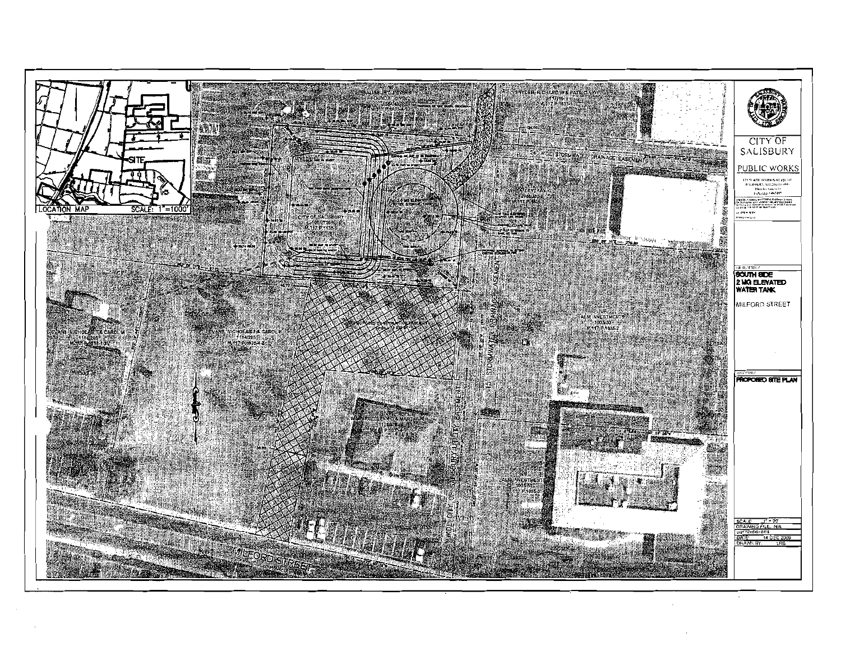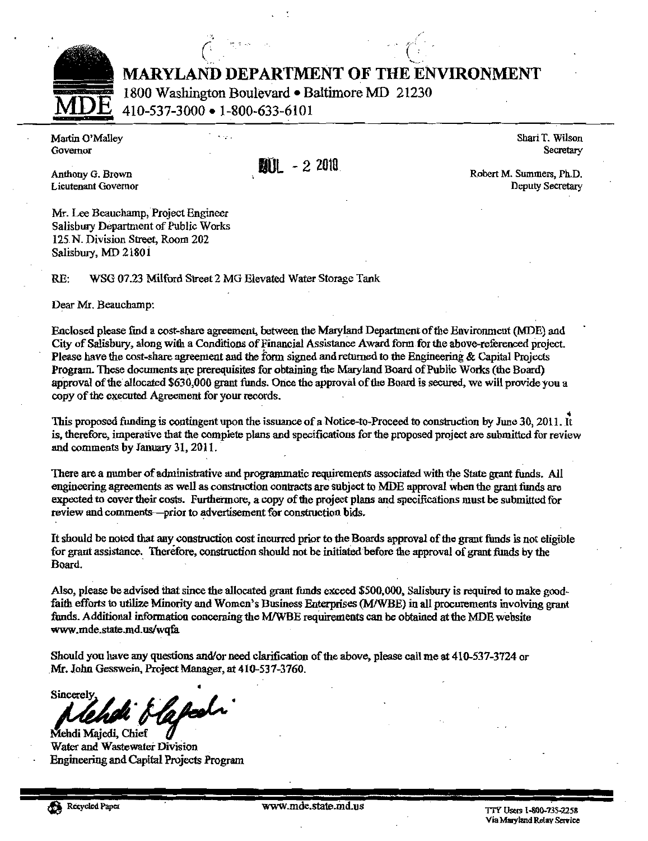

MARYLAND DEPARTMENT OF THE ENVIRONMENT

MARYLAND DEPARTMENT OF THE EN<br>
1800 Washington Boulevard • Baltimore MD 21230<br>
MDE 410-537-3000 • 1-800-633-6101<br>
iartin O'Malley<br>
overnor<br>
mthony G. Brown<br>
eutenant Governor<br>
(all - 2 2010) MDE 1800 Washington Boulevard • Baltimore MD 21230<br>MDE 410-537-3000 • 1-800-633-6101<br>Martin O'Malley<br>Governor

Martin O'Malley Shari T. Wilson

 $\frac{1}{2}$  and  $\frac{1}{2}$   $\frac{1}{2}$   $\frac{1}{2}$   $\frac{1}{2}$   $\frac{1}{2}$   $\frac{1}{2}$   $\frac{1}{2}$   $\frac{1}{2}$   $\frac{1}{2}$   $\frac{1}{2}$   $\frac{1}{2}$   $\frac{1}{2}$   $\frac{1}{2}$   $\frac{1}{2}$   $\frac{1}{2}$   $\frac{1}{2}$   $\frac{1}{2}$   $\frac{1}{2}$   $\frac{1}{2}$   $\frac{1}{2}$   $\frac{1}{2$ 

Mr Lee Beauchamp Project Engineer Mr. Lee Beauchamp, Project Engineer Salisbury Department of Public Works 125 N. Division Street, Room 202<br>Salisbury, MD 21801

RE: WSG 07.23 Milford Street 2 MG Elevated Water Storage Tank

Dear Mr. Beauchamp:

Enclosed please find a cost-share agreement, between the Maryland Department of the Environment (MDE) and<br>City of Salisbury, along with a Conditions of Financial Assistance Award form for the above-referenced project. Please have the cost-share agreement and the form signed and returned to the Engineering & Capital Projects Program. These documents are prerequisites for obtaining the Maryland Board of Public Works (the Board) approval of the allocated \$630,000 grant funds. Once the approval of the Board is secured, we will provide you a copy of the executed Agreement for your records. Enclosed please find a cost-share agreement, between the Maryland Department of the Environment (MDE) and<br>City of Salisbury, along with a Conditions of Financial Assistance Award form for the above-referenced project.<br>Ple

There are a number of administrative and programmatic requirements associated with the State grant funds. All engineering agreements as well as construction contracts are subject to MDE approval when the grant funds are ex

It should be noted that any construction cost incurred prior to the Boards approval of the grant funds is not eligible<br>for grant assistance. Therefore, construction should not be initiated before the approval of grant fund

Also, please be advised that since the allocated grant funds exceed \$500,000, Salisbury is required to make good-<br>faith efforts to utilize Minority and Women's Business Enterprises (M/WBE) in all procurements involving gra Also, please be advised that<br>faith efforts to utilize Minor<br>funds. Additional information g and women's Business Enterprises (WW WEEF) in an procurements involved concerning the M/WBE requirements can be obtained at the MDE website Also, ple<br>faith effe<br>funds. A<br>www.me<br>Should y<br>Mr. John<br>Sincerel<br>Mehdi M<br>Water ar<br>Engineer be noted that any construction cost insurred prior to the Boards approval of the grant funds is not eligible<br>assistance. Therefore, construction should not be initiated before the approval of grant funds by the<br>asse be ad

Sh<br>Pr  $\mathbb{R}$  should be vw.mde.state.md.us/wqfa<br>buld you have any questions and/or need clarification of the above, please call me at 410-537-3724 o<br>. John Gesswein, Project Manager, at 410-537-3760.

**Sincerely**  $\mathscr{L}$ Majedr di  $\frac{\partial}{\partial t}$ 

 $M_{\text{H}}$  was  $M_{\text{H}}$  was  $M_{\text{H}}$  was  $M_{\text{H}}$  was  $M_{\text{H}}$  was  $M_{\text{H}}$  was  $M_{\text{H}}$  was  $M_{\text{H}}$  was  $M_{\text{H}}$  was  $M_{\text{H}}$  was  $M_{\text{H}}$  was  $M_{\text{H}}$  was  $M_{\text{H}}$  was  $M_{\text{H}}$  was  $M_{\text{H}}$  was  $M_{\text{H}}$  w u m Engineering and Capital Projects Program

TTY Users 1-800-735-2258<br>Via Maryland Relay Service

Secretary

Deputy Secretary

Lieutenant Governor Robert M. Summers, Ph.D.<br>Robert M. Summers, Ph.D.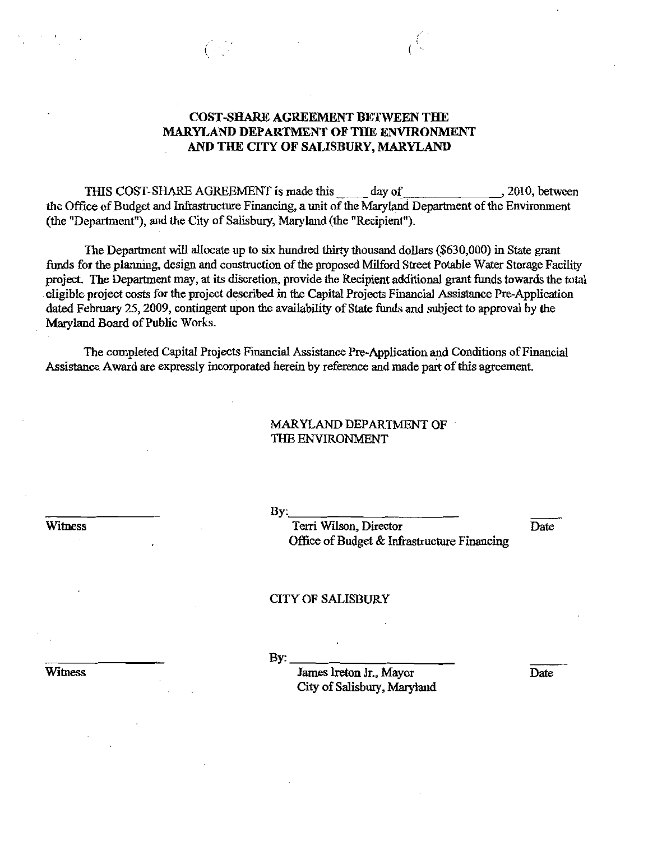## COST-SHARE AGREEMENT BETWEEN THE MARYLAND DEPARTMENT OF THE ENVIRONMENT AND THE CITY OF SALISBURY, MARYLAND

 $C_{\mathbb{C}}$ 

THIS COST-SHARE AGREEMENT is made this day of 2010, between the Office of Budget and Infrastructure Financing, a unit of the Maryland Department of the Environment (the "Department"), and the City of Salisbury, Maryland (the "Recipient").

The Department will allocate up to six hundred thirty thousand dollars (\$630,000) in State grant funds for the planning, design and construction of the proposed Milford Street Potable Water Storage Facility project. The Department may, at its discretion, provide the Recipient additional grant funds towards the total eligible project costs for the project described in the Capital Projects Financial Assistance Pre-Application dated February 25, 2009, contingent upon the availability of State funds and subject to approval by the Maryland Board of Public Works.

The completed Capital Projects Financial Assistance Pre-Application and Conditions of Financial Assistance Award are expressly incorporated herein by reference and made part of this agreement.

## MARYLAND DEPARTMENT OF THE ENVIRONMENT

Witness

By:

Terri Wilson, Director Date Office of Budget & Infrastructure Financing

#### CITY OF SALISBURY

 $\mathbf{By:}$ 

James Ireton Jr., Mayor Date City of Salisbury, Maryland

**Witness**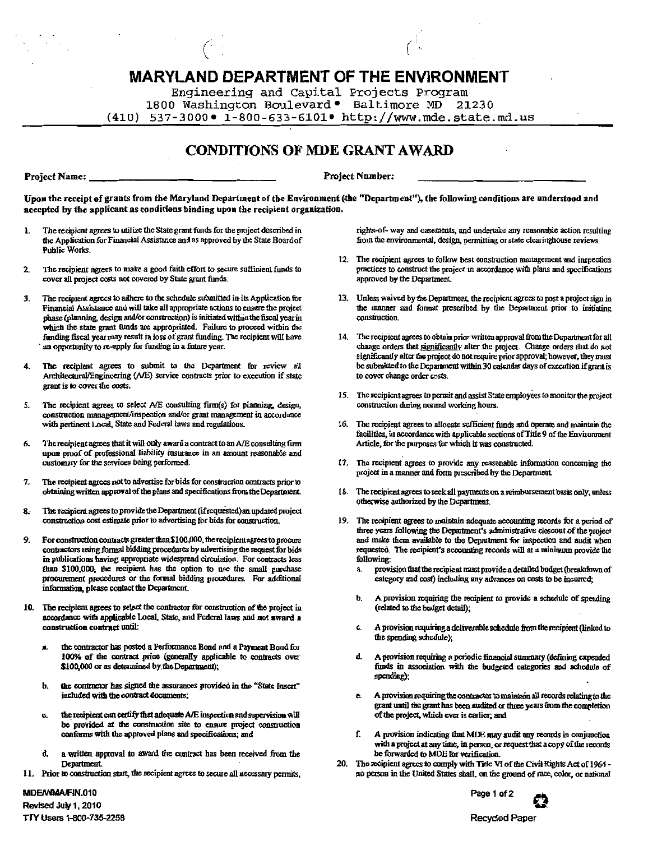# **MARYLAND DEPARTMENT OF THE ENVIRONMENT**

Engineering and Capital Projects Program 1800 Washington Boulevard • Baltimore MD 21230  $(410)$  537-3000 • 1-800-633-6101 • http://www.mde.state.md.us

# **CONDITIONS OF MDE GRANT AWARD**

Project Name:

**Project Number:** 

Upon the receipt of grants from the Maryland Department of the Environment (the "Department"), the following conditions are understood and accepted by the applicant as conditions binding upon the recipient organization.

- The recipient agrees to utilize the State grant funds for the project described in  $\mathbf{I}$ the Application for Financial Assistance and as approved by the State Board of Public Works.
- The recipient agrees to make a good faith effort to secure sufficient funds to  $2.$ cover all project costs not covered by State grant funds.
- The recipient agrees to adhere to the schedule submitted in its Application for 3. Financial Assistance and will take all appropriate actions to ensure the project phase (planning, design and/or construction) is initiated within the fiscal vear in which the state grant funds are appropriated. Failure to proceed within the funding fiscal year may result in loss of grant funding. The recipient will have an opportunity to re-apply for funding in a future year.
- The recipient agrees to submit to the Department for review all  $\blacktriangle$ Architectural/Engineering (A/E) service contracts prior to execution if state grant is to cover the costs.
- The recipient agrees to select A/E consulting firm(s) for planning, design,  $5.$ construction management/inspection and/or grant management in accordance with pertinent Local, State and Federal laws and regulations.
- The recipient agrees that it will only award a contract to an A/E consulting firm 6. upon proof of professional liability insurance in an amount reasonable and customary for the services being performed.
- 7. The recipient agrees not to advertise for bids for construction contracts prior to obtaining written approval of the plans and specifications from the Department.
- The recipient agrees to provide the Department (if requested) an updated project construction cost estimate prior to advertising for bids for construction.
- For construction contracts greater than \$100,000, the recipient agrees to procure  $\mathbf{Q}$ contractors using formal bidding procedures by advertising the request for bids in publications having appropriate widespread circulation. For contracts less than \$100,000; the recipient has the option to use the small purchase procurement procedures or the formal bidding procedures. For additional information, please contact the Department.
- 10. The recipient agrees to select the contractor for construction of the project in accordance with applicable Local, State, and Federal laws and not award a construction contract until:
	- $\mathbf{a}$ the contractor has posted a Performance Bond and a Payment Bond for 100% of the contract price (generally applicable to contracts over \$100,000 or as determined by the Department);
	- the contractor has signed the assurances provided in the "State Insert" ħ. included with the contract documents;
	- the recipient can certify that adequate A/E inspection and supervision will be provided at the construction site to ensure project construction conforms with the approved plans and specifications; and
	- đ. a written approval to award the contract has been received from the Department.
- 11. Prior to construction start, the recipient agrees to secure all necessary permits,

rights-of- way and easements, and undertake any reasonable action resulting from the environmental, design, permitting or state clearinghouse reviews.

- 12. The recipient agrees to follow best construction management and inspection practices to construct the project in accordance with plans and specifications approved by the Department.
- 13. Unless waived by the Department, the recipient agrees to post a project sign in the manner and format prescribed by the Department prior to initiating construction.
- 14. The recipient agrees to obtain prior written approval from the Department for all change orders that significantly alter the project. Change orders that do not significantly alter the project do not require prior approval; however, they must be submitted to the Department within 30 calendar days of execution if grant is to cover change order costs.
- 15. The recipient agrees to permit and assist State employees to monitor the project construction during normal working hours.
- 16. The recipient agrees to allocate sufficient funds and operate and maintain the facilities, in accordance with applicable sections of Title 9 of the Environment Article, for the purposes for which it was constructed.
- 17. The recipient agrees to provide any reasonable information concerning the project in a manner and form prescribed by the Department.
- 18. The recipient agrees to seek all payments on a reimbursement basis only, unless otherwise authorized by the Department.
- 19. The recipient agrees to maintain adequate accounting records for a period of three vears following the Department's administrative closeout of the project and make them available to the Department for inspection and audit when requested. The recipient's accounting records will at a minimum provide the following:
	- provision that the recipient must provide a detailed budget (breakdown of  $\mathbf{a}$ category and cost) including any advances on costs to be incurred;
	- b. A provision requiring the recipient to provide a schedule of spending (related to the budget detail):
	- c. A provision requiring a deliverable schedule from the recipient (linked to the spending schedule);
	- A provision requiring a periodic financial summary (defining expended d. funds in association with the budgeted categories and schedule of spending):
	- e. A provision requiring the contractor to maintain all records relating to the grant until the grant has been audited or three years from the completion of the project, which ever is earlier, and
	- A provision indicating that MDE may audit any records in conjunction with a project at any time, in person, or request that a copy of the records be forwarded to MDE for verification.
- 20. The recipient agrees to comply with Title VI of the Civil Rights Act of 1964 no person in the United States shall, on the ground of race, color, or national





Revised July 1, 2010 TTY Users 1-800-735-2258

MDE/WMA/FIN.010

**Recycled Paper**